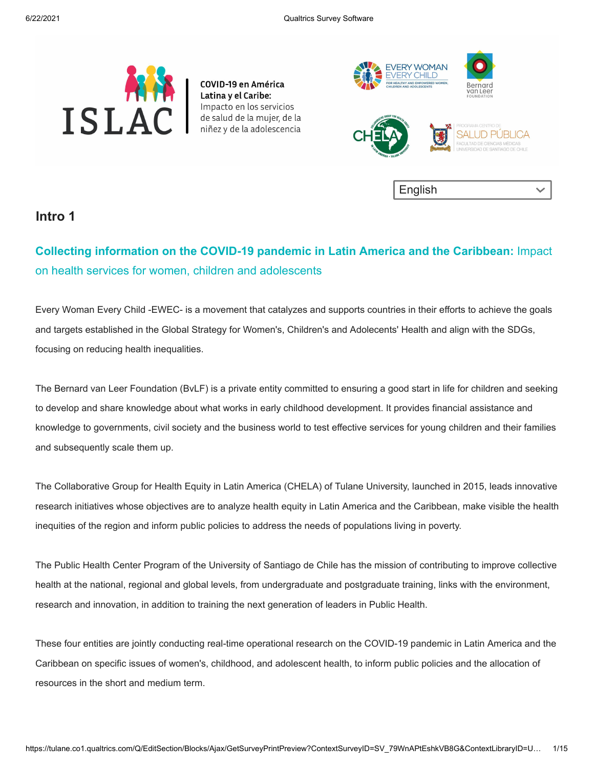

COVID-19 en América Latina y el Caribe: Impacto en los servicios de salud de la mujer, de la niñez y de la adolescencia



#### **Intro 1**

## **Collecting information on the COVID-19 pandemic in Latin America and the Caribbean:** Impact on health services for women, children and adolescents

Every Woman Every Child -EWEC- is a movement that catalyzes and supports countries in their efforts to achieve the goals and targets established in the Global Strategy for Women's, Children's and Adolecents' Health and align with the SDGs, focusing on reducing health inequalities.

The Bernard van Leer Foundation (BvLF) is a private entity committed to ensuring a good start in life for children and seeking to develop and share knowledge about what works in early childhood development. It provides financial assistance and knowledge to governments, civil society and the business world to test effective services for young children and their families and subsequently scale them up.

The Collaborative Group for Health Equity in Latin America (CHELA) of Tulane University, launched in 2015, leads innovative research initiatives whose objectives are to analyze health equity in Latin America and the Caribbean, make visible the health inequities of the region and inform public policies to address the needs of populations living in poverty.

The Public Health Center Program of the University of Santiago de Chile has the mission of contributing to improve collective health at the national, regional and global levels, from undergraduate and postgraduate training, links with the environment, research and innovation, in addition to training the next generation of leaders in Public Health.

These four entities are jointly conducting real-time operational research on the COVID-19 pandemic in Latin America and the Caribbean on specific issues of women's, childhood, and adolescent health, to inform public policies and the allocation of resources in the short and medium term.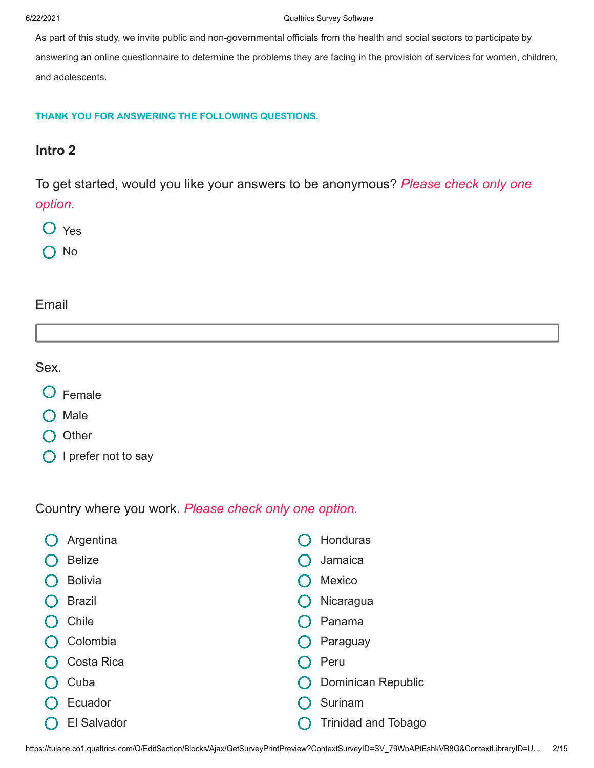As part of this study, we invite public and non-governmental officials from the health and social sectors to participate by answering an online questionnaire to determine the problems they are facing in the provision of services for women, children, and adolescents.

#### **THANK YOU FOR ANSWERING THE FOLLOWING QUESTIONS.**

### **Intro 2**

To get started, would you like your answers to be anonymous? *Please check only one option.*

- Yes
- No

#### Email

Sex.

- Female
- Male
- O Other
- O I prefer not to say

Country where you work. *Please check only one option.*

|  | Argentina          | Honduras                   |
|--|--------------------|----------------------------|
|  | <b>Belize</b>      | Jamaica                    |
|  | <b>Bolivia</b>     | <b>Mexico</b>              |
|  | <b>Brazil</b>      | Nicaragua                  |
|  | Chile              | Panama                     |
|  | Colombia           | Paraguay                   |
|  | Costa Rica         | Peru                       |
|  | Cuba               | Dominican Republic         |
|  | Ecuador            | Surinam                    |
|  | <b>El Salvador</b> | <b>Trinidad and Tobago</b> |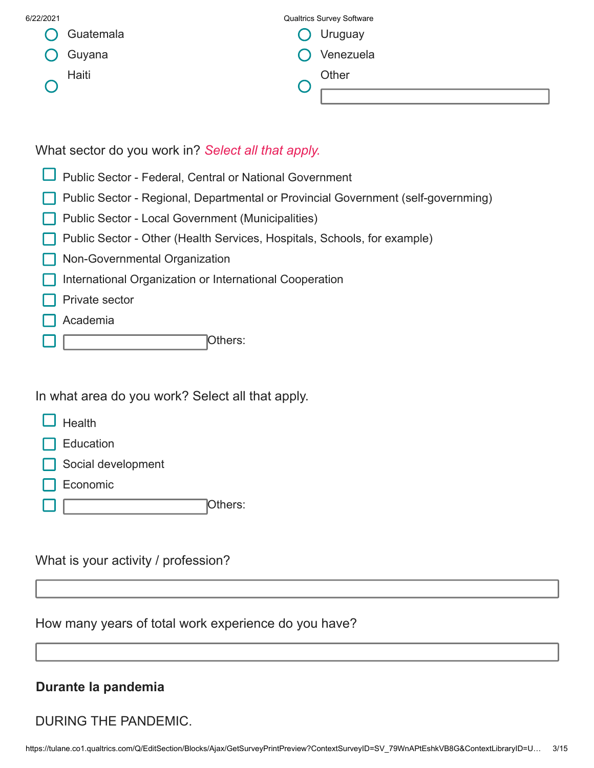| 6/22/2021 |           | <b>Qualtrics Survey Software</b> |  |
|-----------|-----------|----------------------------------|--|
|           | Guatemala | Uruguay                          |  |
|           | Guyana    | Venezuela                        |  |
|           | Haiti     | Other                            |  |
|           |           |                                  |  |

What sector do you work in? *Select all that apply.*

- **D** Public Sector Federal, Central or National Government
- Public Sector Regional, Departmental or Provincial Government (self-governming)
- Public Sector Local Government (Municipalities)
- Public Sector Other (Health Services, Hospitals, Schools, for example)
- **Non-Governmental Organization**
- **International Organization or International Cooperation**
- Private sector
- Academia
- Others:

In what area do you work? Select all that apply.

- $\overline{\phantom{a}}$  Health
- **Education**
- Social development
- Economic
- Others:

What is your activity / profession?

How many years of total work experience do you have?

## **Durante la pandemia**

DURING THE PANDEMIC.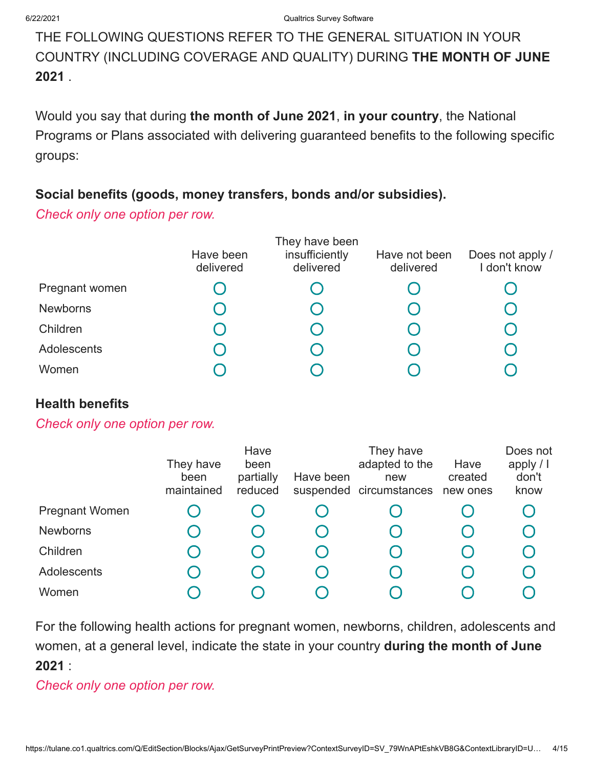# THE FOLLOWING QUESTIONS REFER TO THE GENERAL SITUATION IN YOUR COUNTRY (INCLUDING COVERAGE AND QUALITY) DURING **THE MONTH OF JUNE 2021** .

Would you say that during **the month of June 2021**, **in your country**, the National Programs or Plans associated with delivering guaranteed benefits to the following specific groups:

## **Social benefits (goods, money transfers, bonds and/or subsidies).**

*Check only one option per row.*

|                 | Have been<br>delivered | They have been<br>insufficiently<br>delivered | Have not been<br>delivered | Does not apply /<br>I don't know |
|-----------------|------------------------|-----------------------------------------------|----------------------------|----------------------------------|
| Pregnant women  |                        |                                               |                            |                                  |
| <b>Newborns</b> |                        |                                               |                            |                                  |
| Children        |                        |                                               |                            |                                  |
| Adolescents     |                        |                                               |                            |                                  |
| Women           |                        |                                               |                            |                                  |

### **Health benefits**

*Check only one option per row.*

|                       | They have<br>been<br>maintained | Have<br>been<br>partially<br>reduced | Have been | They have<br>adapted to the<br>new<br>suspended circumstances | Have<br>created<br>new ones | Does not<br>apply $/$ I<br>don't<br>know |
|-----------------------|---------------------------------|--------------------------------------|-----------|---------------------------------------------------------------|-----------------------------|------------------------------------------|
| <b>Pregnant Women</b> |                                 |                                      |           |                                                               |                             |                                          |
| <b>Newborns</b>       |                                 |                                      |           |                                                               |                             |                                          |
| Children              |                                 |                                      |           |                                                               |                             |                                          |
| Adolescents           |                                 |                                      |           |                                                               |                             |                                          |
| Women                 |                                 |                                      |           |                                                               |                             |                                          |

For the following health actions for pregnant women, newborns, children, adolescents and women, at a general level, indicate the state in your country **during the month of June 2021** :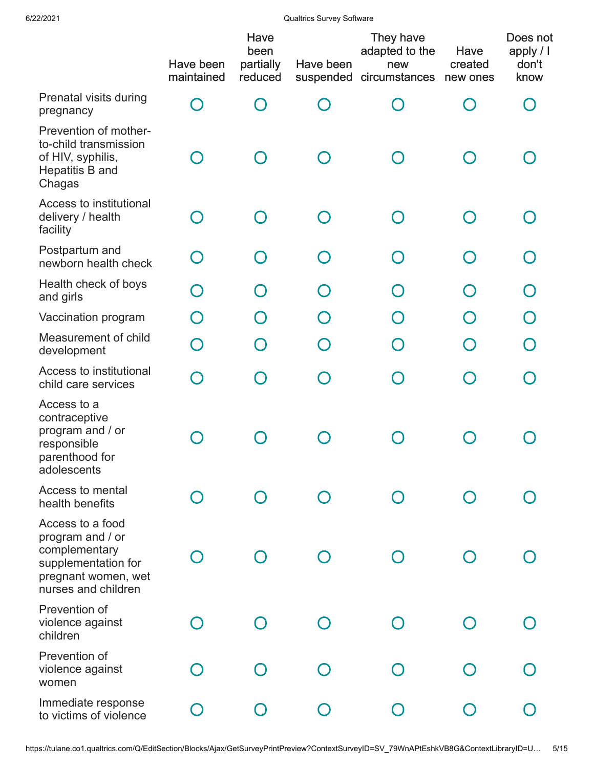|                                                                                                                            | Have been<br>maintained | Have<br>been<br>partially<br>reduced | Have been | They have<br>adapted to the<br>new<br>suspended circumstances | Have<br>created<br>new ones | Does not<br>apply / I<br>don't<br>know |
|----------------------------------------------------------------------------------------------------------------------------|-------------------------|--------------------------------------|-----------|---------------------------------------------------------------|-----------------------------|----------------------------------------|
| Prenatal visits during<br>pregnancy                                                                                        |                         |                                      |           |                                                               |                             |                                        |
| Prevention of mother-<br>to-child transmission<br>of HIV, syphilis,<br>Hepatitis B and<br>Chagas                           |                         |                                      |           |                                                               |                             |                                        |
| Access to institutional<br>delivery / health<br>facility                                                                   |                         |                                      |           | O                                                             |                             |                                        |
| Postpartum and<br>newborn health check                                                                                     | $\bigcap$               |                                      |           | $\Box$                                                        |                             |                                        |
| Health check of boys<br>and girls                                                                                          | $\bigcap$               |                                      |           |                                                               |                             |                                        |
| Vaccination program                                                                                                        |                         |                                      |           |                                                               |                             |                                        |
| Measurement of child<br>development                                                                                        |                         |                                      |           |                                                               |                             |                                        |
| Access to institutional<br>child care services                                                                             |                         |                                      |           |                                                               |                             |                                        |
| Access to a<br>contraceptive<br>program and / or<br>responsible<br>parenthood for<br>adolescents                           |                         |                                      |           |                                                               |                             |                                        |
| Access to mental<br>health benefits                                                                                        |                         |                                      |           |                                                               |                             |                                        |
| Access to a food<br>program and / or<br>complementary<br>supplementation for<br>pregnant women, wet<br>nurses and children |                         |                                      |           |                                                               |                             |                                        |
| Prevention of<br>violence against<br>children                                                                              |                         |                                      |           |                                                               |                             |                                        |
| Prevention of<br>violence against<br>women                                                                                 |                         |                                      |           |                                                               |                             |                                        |
| Immediate response<br>to victims of violence                                                                               |                         |                                      |           |                                                               |                             |                                        |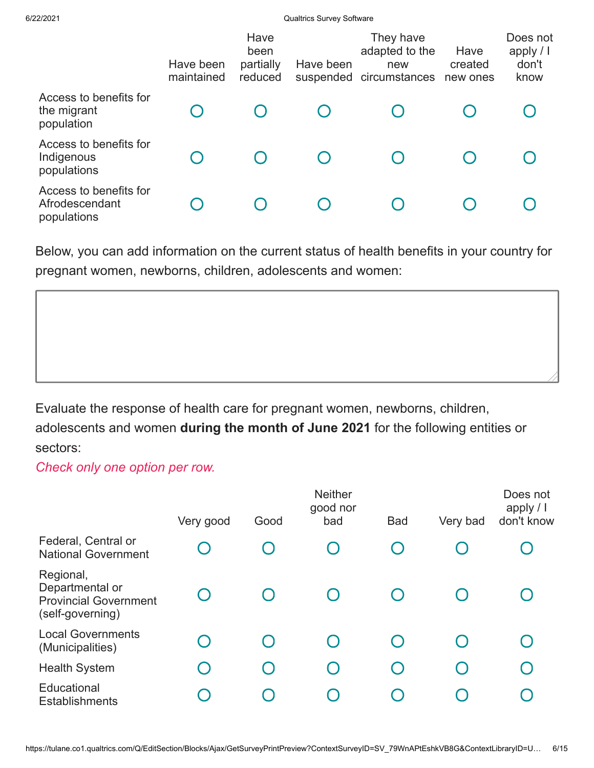|                                                         | Have been<br>maintained | Have<br>been<br>partially<br>reduced | Have been | They have<br>adapted to the<br>new<br>suspended circumstances | Have<br>created<br>new ones | Does not<br>apply $/$ I<br>don't<br>know |
|---------------------------------------------------------|-------------------------|--------------------------------------|-----------|---------------------------------------------------------------|-----------------------------|------------------------------------------|
| Access to benefits for<br>the migrant<br>population     |                         |                                      |           |                                                               |                             |                                          |
| Access to benefits for<br>Indigenous<br>populations     |                         |                                      |           |                                                               |                             |                                          |
| Access to benefits for<br>Afrodescendant<br>populations |                         |                                      |           |                                                               |                             |                                          |

Below, you can add information on the current status of health benefits in your country for pregnant women, newborns, children, adolescents and women:

Evaluate the response of health care for pregnant women, newborns, children,

adolescents and women **during the month of June 2021** for the following entities or sectors:

|                                                                                  | Very good                              | Good | <b>Neither</b><br>good nor<br>bad | <b>Bad</b>                                    | Very bad | Does not<br>apply $/$ I<br>don't know |
|----------------------------------------------------------------------------------|----------------------------------------|------|-----------------------------------|-----------------------------------------------|----------|---------------------------------------|
| Federal, Central or<br><b>National Government</b>                                |                                        |      | Ő                                 |                                               |          |                                       |
| Regional,<br>Departmental or<br><b>Provincial Government</b><br>(self-governing) |                                        |      |                                   |                                               |          |                                       |
| <b>Local Governments</b><br>(Municipalities)                                     | $\begin{pmatrix} 1 \\ 2 \end{pmatrix}$ |      |                                   |                                               |          |                                       |
| <b>Health System</b>                                                             | ( )                                    |      | O                                 | $\left(\begin{array}{c} 1 \end{array}\right)$ |          |                                       |
| Educational<br><b>Establishments</b>                                             |                                        |      |                                   |                                               |          |                                       |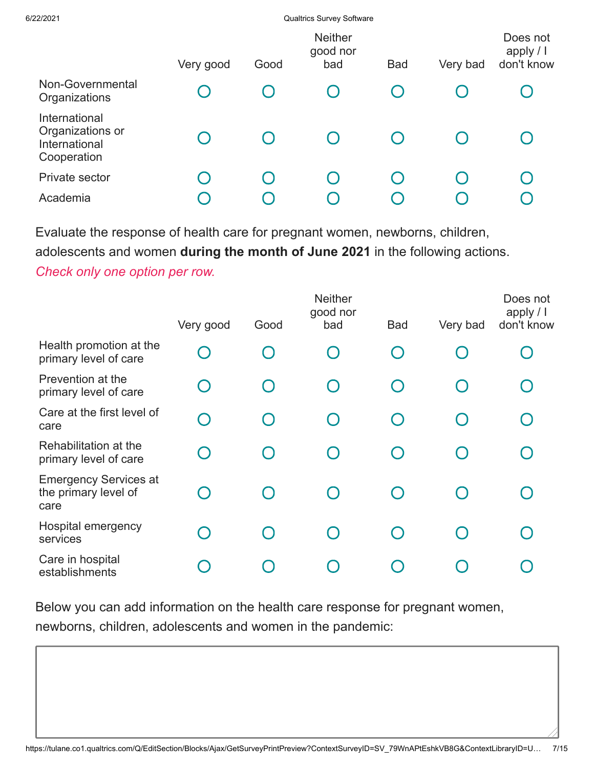|                                                                   | Very good | Good | <b>Neither</b><br>good nor<br>bad             | <b>Bad</b> | Very bad | Does not<br>apply / I<br>don't know |
|-------------------------------------------------------------------|-----------|------|-----------------------------------------------|------------|----------|-------------------------------------|
| Non-Governmental<br>Organizations                                 |           |      | $\left( \begin{array}{c} \end{array} \right)$ |            |          |                                     |
| International<br>Organizations or<br>International<br>Cooperation |           |      |                                               |            |          |                                     |
| Private sector                                                    | $\Box$    |      |                                               |            |          |                                     |
| Academia                                                          |           |      |                                               |            |          |                                     |

Evaluate the response of health care for pregnant women, newborns, children, adolescents and women **during the month of June 2021** in the following actions.

*Check only one option per row.*

|                                                              | Very good                                     | Good | <b>Neither</b><br>good nor<br>bad | <b>Bad</b> | Very bad | Does not<br>apply $/$ $\vert$<br>don't know |
|--------------------------------------------------------------|-----------------------------------------------|------|-----------------------------------|------------|----------|---------------------------------------------|
| Health promotion at the<br>primary level of care             | $\bigcap$                                     |      | O                                 |            |          |                                             |
| Prevention at the<br>primary level of care                   | $\left( \begin{array}{c} \end{array} \right)$ |      | $\bigcap$                         | $\cap$     |          |                                             |
| Care at the first level of<br>care                           | $\bigcap$                                     |      | $\bigcap$                         | $\bigcap$  |          |                                             |
| Rehabilitation at the<br>primary level of care               | $\bigcap$                                     |      | ∩                                 |            |          |                                             |
| <b>Emergency Services at</b><br>the primary level of<br>care |                                               |      | $\cap$                            |            |          |                                             |
| Hospital emergency<br>services                               | $\left(\begin{array}{c} 1 \end{array}\right)$ |      | $\cap$                            |            |          |                                             |
| Care in hospital<br>establishments                           |                                               |      |                                   |            |          |                                             |

Below you can add information on the health care response for pregnant women, newborns, children, adolescents and women in the pandemic: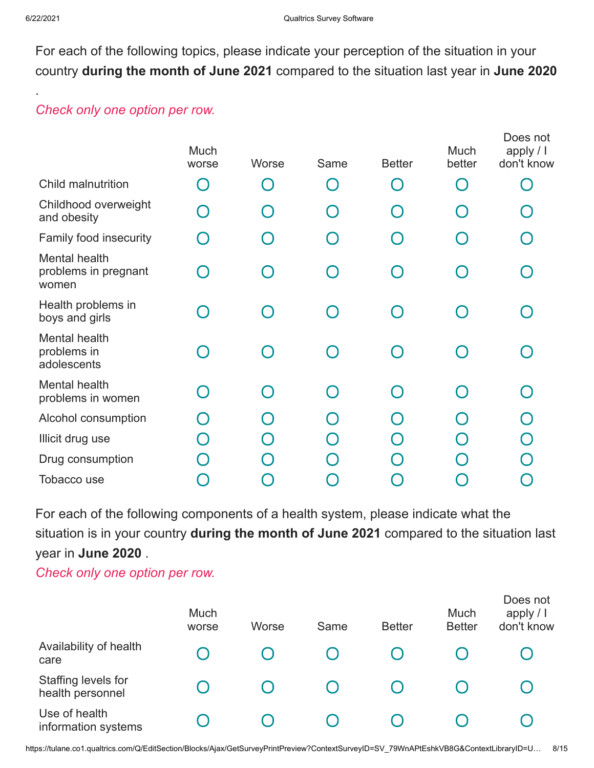.

For each of the following topics, please indicate your perception of the situation in your country **during the month of June 2021** compared to the situation last year in **June 2020**

## *Check only one option per row.*

|                                                | Much<br>worse | Worse | Same      | <b>Better</b> | Much<br>better | Does not<br>apply / I<br>don't know |
|------------------------------------------------|---------------|-------|-----------|---------------|----------------|-------------------------------------|
| Child malnutrition                             |               |       | $\bigcap$ |               |                |                                     |
| Childhood overweight<br>and obesity            |               |       |           |               |                |                                     |
| Family food insecurity                         |               |       |           |               |                |                                     |
| Mental health<br>problems in pregnant<br>women |               |       |           |               |                |                                     |
| Health problems in<br>boys and girls           |               |       |           |               |                |                                     |
| Mental health<br>problems in<br>adolescents    |               |       |           |               |                |                                     |
| Mental health<br>problems in women             |               |       |           |               |                |                                     |
| Alcohol consumption                            |               |       |           |               |                |                                     |
| Illicit drug use                               |               |       |           |               |                |                                     |
| Drug consumption                               |               |       |           |               |                |                                     |
| Tobacco use                                    |               |       |           |               |                |                                     |
|                                                |               |       |           |               |                |                                     |

For each of the following components of a health system, please indicate what the situation is in your country **during the month of June 2021** compared to the situation last year in **June 2020** .

|                                         | Much<br>worse | Worse | Same | <b>Better</b> | Much<br><b>Better</b> | Does not<br>apply $/$  <br>don't know |
|-----------------------------------------|---------------|-------|------|---------------|-----------------------|---------------------------------------|
| Availability of health<br>care          |               |       |      |               |                       |                                       |
| Staffing levels for<br>health personnel |               |       |      |               |                       |                                       |
| Use of health<br>information systems    |               |       |      |               |                       |                                       |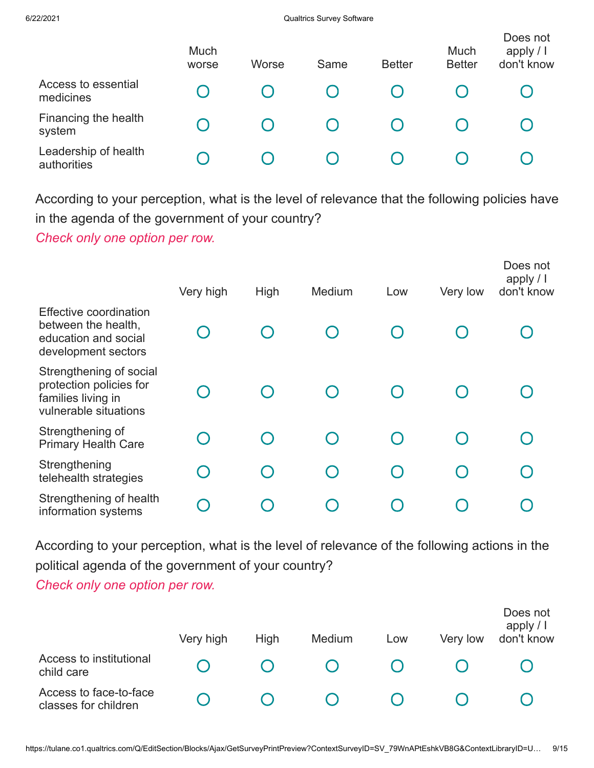|                                     | Much<br>worse | Worse | Same | <b>Better</b> | Much<br><b>Better</b> | Does not<br>apply $/$  <br>don't know |
|-------------------------------------|---------------|-------|------|---------------|-----------------------|---------------------------------------|
| Access to essential<br>medicines    |               |       |      |               |                       |                                       |
| Financing the health<br>system      |               |       |      |               |                       |                                       |
| Leadership of health<br>authorities |               |       |      |               |                       |                                       |

According to your perception, what is the level of relevance that the following policies have in the agenda of the government of your country?

*Check only one option per row.*

|                                                                                                     | Very high | High | Medium                                        | Low | Very low | Does not<br>apply $/$ I<br>don't know |
|-----------------------------------------------------------------------------------------------------|-----------|------|-----------------------------------------------|-----|----------|---------------------------------------|
| <b>Effective coordination</b><br>between the health,<br>education and social<br>development sectors |           |      |                                               |     |          |                                       |
| Strengthening of social<br>protection policies for<br>families living in<br>vulnerable situations   |           |      |                                               |     |          |                                       |
| Strengthening of<br><b>Primary Health Care</b>                                                      |           |      |                                               |     |          |                                       |
| Strengthening<br>telehealth strategies                                                              |           |      | $\left( \begin{array}{c} \end{array} \right)$ |     |          |                                       |
| Strengthening of health<br>information systems                                                      |           |      |                                               |     |          |                                       |

According to your perception, what is the level of relevance of the following actions in the political agenda of the government of your country?

|                                                | Very high | High | Medium | Low | Very low | Does not<br>apply $/$ $\vert$<br>don't know |
|------------------------------------------------|-----------|------|--------|-----|----------|---------------------------------------------|
| Access to institutional<br>child care          |           |      |        |     |          |                                             |
| Access to face-to-face<br>classes for children |           |      |        |     |          |                                             |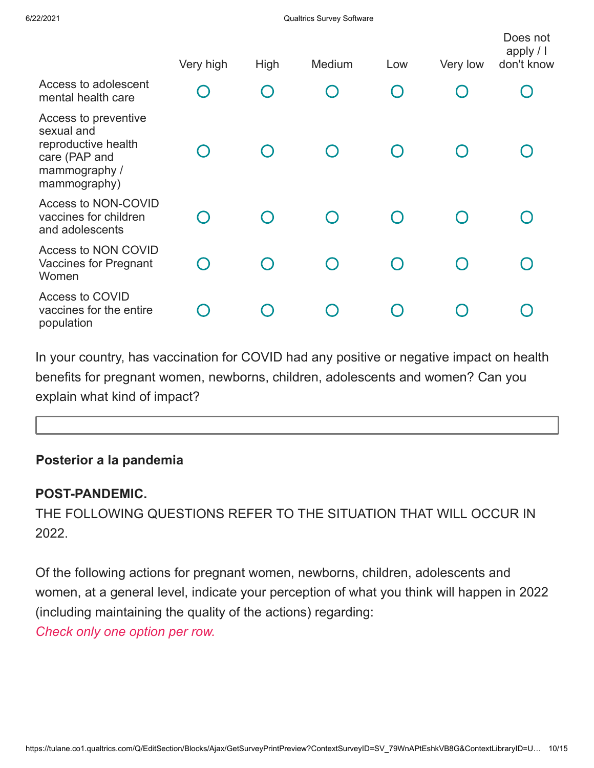|                                                                                                             | Very high | High | Medium | Low    | Very low | Does not<br>apply $/$ I<br>don't know |
|-------------------------------------------------------------------------------------------------------------|-----------|------|--------|--------|----------|---------------------------------------|
| Access to adolescent<br>mental health care                                                                  |           | O    |        | $\Box$ |          |                                       |
| Access to preventive<br>sexual and<br>reproductive health<br>care (PAP and<br>mammography /<br>mammography) |           |      |        |        |          |                                       |
| Access to NON-COVID<br>vaccines for children<br>and adolescents                                             |           |      |        |        |          |                                       |
| Access to NON COVID<br><b>Vaccines for Pregnant</b><br>Women                                                | $\cap$    |      |        |        |          |                                       |
| Access to COVID<br>vaccines for the entire<br>population                                                    |           |      |        |        |          |                                       |

In your country, has vaccination for COVID had any positive or negative impact on health benefits for pregnant women, newborns, children, adolescents and women? Can you explain what kind of impact?

## **Posterior a la pandemia**

### **POST-PANDEMIC.**

THE FOLLOWING QUESTIONS REFER TO THE SITUATION THAT WILL OCCUR IN 2022.

Of the following actions for pregnant women, newborns, children, adolescents and women, at a general level, indicate your perception of what you think will happen in 2022 (including maintaining the quality of the actions) regarding: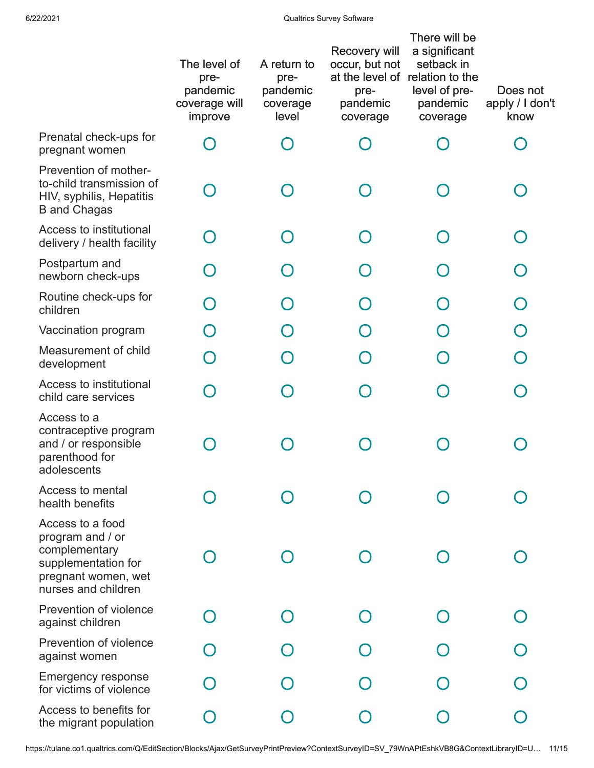|                                                                                                                            | The level of<br>pre-<br>pandemic<br>coverage will<br>improve | A return to<br>pre-<br>pandemic<br>coverage<br>level | Recovery will<br>occur, but not<br>pre-<br>pandemic<br>coverage | There will be<br>a significant<br>setback in<br>at the level of relation to the<br>level of pre-<br>pandemic<br>coverage | Does not<br>apply / I don't<br>know |
|----------------------------------------------------------------------------------------------------------------------------|--------------------------------------------------------------|------------------------------------------------------|-----------------------------------------------------------------|--------------------------------------------------------------------------------------------------------------------------|-------------------------------------|
| Prenatal check-ups for<br>pregnant women                                                                                   |                                                              |                                                      |                                                                 |                                                                                                                          |                                     |
| Prevention of mother-<br>to-child transmission of<br>HIV, syphilis, Hepatitis<br><b>B</b> and Chagas                       |                                                              |                                                      |                                                                 |                                                                                                                          |                                     |
| Access to institutional<br>delivery / health facility                                                                      |                                                              | $\Box$                                               |                                                                 |                                                                                                                          |                                     |
| Postpartum and<br>newborn check-ups                                                                                        | $\bigcap$                                                    | $\Box$                                               |                                                                 |                                                                                                                          |                                     |
| Routine check-ups for<br>children                                                                                          |                                                              | $\Box$                                               |                                                                 |                                                                                                                          |                                     |
| Vaccination program                                                                                                        |                                                              |                                                      |                                                                 |                                                                                                                          |                                     |
| Measurement of child<br>development                                                                                        | ∩                                                            |                                                      |                                                                 |                                                                                                                          |                                     |
| Access to institutional<br>child care services                                                                             | ∩                                                            |                                                      |                                                                 |                                                                                                                          |                                     |
| Access to a<br>contraceptive program<br>and / or responsible<br>parenthood for<br>adolescents                              |                                                              |                                                      |                                                                 |                                                                                                                          |                                     |
| Access to mental<br>health benefits                                                                                        |                                                              |                                                      |                                                                 |                                                                                                                          |                                     |
| Access to a food<br>program and / or<br>complementary<br>supplementation for<br>pregnant women, wet<br>nurses and children |                                                              |                                                      |                                                                 |                                                                                                                          |                                     |
| Prevention of violence<br>against children                                                                                 |                                                              |                                                      |                                                                 |                                                                                                                          |                                     |
| Prevention of violence<br>against women                                                                                    |                                                              |                                                      |                                                                 |                                                                                                                          |                                     |
| <b>Emergency response</b><br>for victims of violence                                                                       |                                                              |                                                      |                                                                 |                                                                                                                          |                                     |
| Access to benefits for<br>the migrant population                                                                           |                                                              |                                                      |                                                                 |                                                                                                                          |                                     |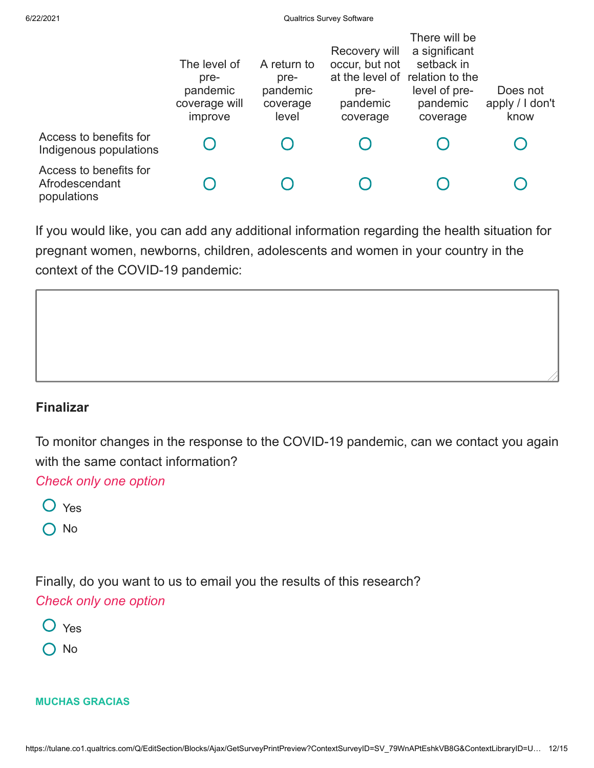|                                                         | The level of<br>pre-<br>pandemic<br>coverage will<br>improve | A return to<br>pre-<br>pandemic<br>coverage<br>level | Recovery will<br>occur, but not<br>pre-<br>pandemic<br>coverage | There will be<br>a significant<br>setback in<br>at the level of relation to the<br>level of pre-<br>pandemic<br>coverage | Does not<br>apply / I don't<br>know |
|---------------------------------------------------------|--------------------------------------------------------------|------------------------------------------------------|-----------------------------------------------------------------|--------------------------------------------------------------------------------------------------------------------------|-------------------------------------|
| Access to benefits for<br>Indigenous populations        |                                                              |                                                      |                                                                 |                                                                                                                          |                                     |
| Access to benefits for<br>Afrodescendant<br>populations |                                                              |                                                      |                                                                 |                                                                                                                          |                                     |

If you would like, you can add any additional information regarding the health situation for pregnant women, newborns, children, adolescents and women in your country in the context of the COVID-19 pandemic:



### **Finalizar**

To monitor changes in the response to the COVID-19 pandemic, can we contact you again with the same contact information?

*Check only one option*

- Yes
- O No

Finally, do you want to us to email you the results of this research?

## *Check only one option*

- O Yes
- O No

#### **MUCHAS GRACIAS**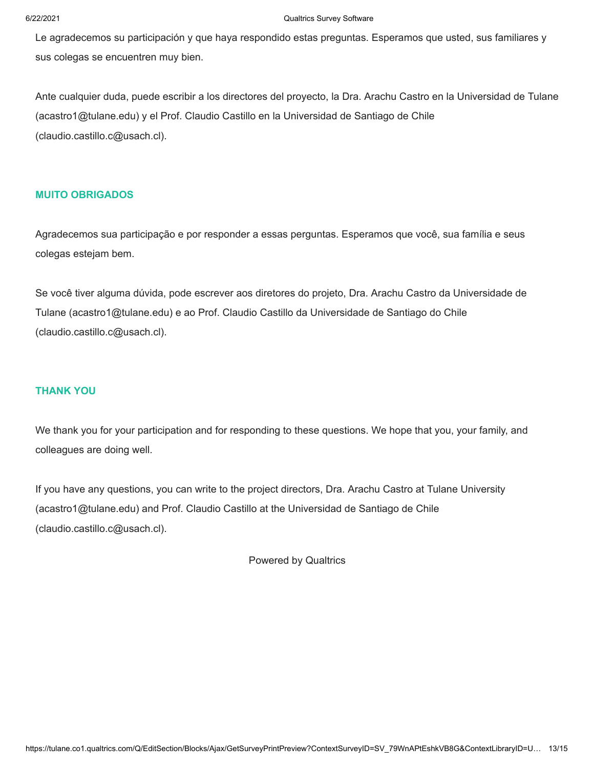Le agradecemos su participación y que haya respondido estas preguntas. Esperamos que usted, sus familiares y sus colegas se encuentren muy bien.

Ante cualquier duda, puede escribir a los directores del proyecto, la Dra. Arachu Castro en la Universidad de Tulane (acastro1@tulane.edu) y el Prof. Claudio Castillo en la Universidad de Santiago de Chile (claudio.castillo.c@usach.cl).

#### **MUITO OBRIGADOS**

Agradecemos sua participação e por responder a essas perguntas. Esperamos que você, sua família e seus colegas estejam bem.

Se você tiver alguma dúvida, pode escrever aos diretores do projeto, Dra. Arachu Castro da Universidade de Tulane (acastro1@tulane.edu) e ao Prof. Claudio Castillo da Universidade de Santiago do Chile (claudio.castillo.c@usach.cl).

#### **THANK YOU**

We thank you for your participation and for responding to these questions. We hope that you, your family, and colleagues are doing well.

If you have any questions, you can write to the project directors, Dra. Arachu Castro at Tulane University (acastro1@tulane.edu) and Prof. Claudio Castillo at the Universidad de Santiago de Chile (claudio.castillo.c@usach.cl).

[Powered by Qualtrics](https://www.qualtrics.com/?utm_source=internal%2Binitiatives&utm_medium=survey%2Bpowered%2Bby%2Bqualtrics&utm_content={~BrandID~}&utm_survey_id={~SurveyID~})